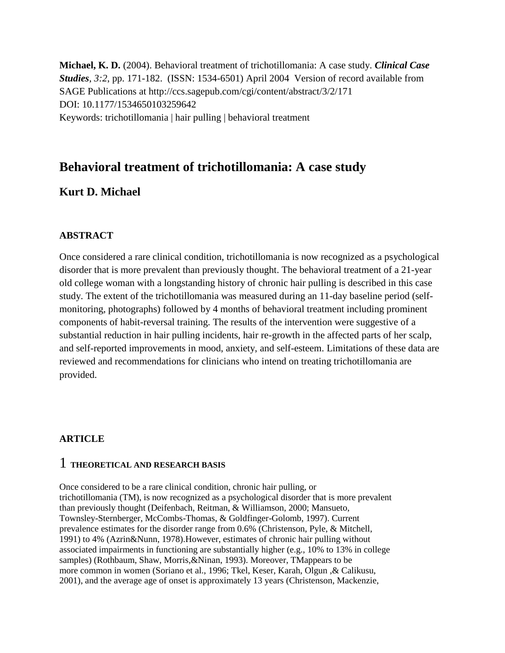**Michael, K. D.** (2004). Behavioral treatment of trichotillomania: A case study. *Clinical Case Studies*, *3:2*, pp. 171-182. (ISSN: 1534-6501) April 2004 Version of record available from SAGE Publications at http://ccs.sagepub.com/cgi/content/abstract/3/2/171 DOI: 10.1177/1534650103259642 Keywords: trichotillomania | hair pulling | behavioral treatment

# **Behavioral treatment of trichotillomania: A case study**

#### **Kurt D. Michael**

#### **ABSTRACT**

Once considered a rare clinical condition, trichotillomania is now recognized as a psychological disorder that is more prevalent than previously thought. The behavioral treatment of a 21-year old college woman with a longstanding history of chronic hair pulling is described in this case study. The extent of the trichotillomania was measured during an 11-day baseline period (selfmonitoring, photographs) followed by 4 months of behavioral treatment including prominent components of habit-reversal training. The results of the intervention were suggestive of a substantial reduction in hair pulling incidents, hair re-growth in the affected parts of her scalp, and self-reported improvements in mood, anxiety, and self-esteem. Limitations of these data are reviewed and recommendations for clinicians who intend on treating trichotillomania are provided.

#### **ARTICLE**

#### 1 **THEORETICAL AND RESEARCH BASIS**

Once considered to be a rare clinical condition, chronic hair pulling, or trichotillomania (TM), is now recognized as a psychological disorder that is more prevalent than previously thought (Deifenbach, Reitman, & Williamson, 2000; Mansueto, Townsley-Sternberger, McCombs-Thomas, & Goldfinger-Golomb, 1997). Current prevalence estimates for the disorder range from 0.6% (Christenson, Pyle, & Mitchell, 1991) to 4% (Azrin&Nunn, 1978).However, estimates of chronic hair pulling without associated impairments in functioning are substantially higher (e.g., 10% to 13% in college samples) (Rothbaum, Shaw, Morris,&Ninan, 1993). Moreover, TMappears to be more common in women (Soriano et al., 1996; Tkel, Keser, Karah, Olgun ,& Calikusu, 2001), and the average age of onset is approximately 13 years (Christenson, Mackenzie,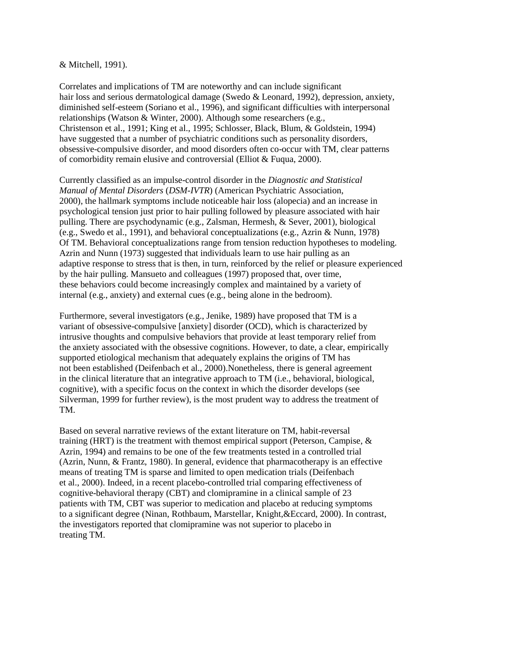#### & Mitchell, 1991).

Correlates and implications of TM are noteworthy and can include significant hair loss and serious dermatological damage (Swedo & Leonard, 1992), depression, anxiety, diminished self-esteem (Soriano et al., 1996), and significant difficulties with interpersonal relationships (Watson & Winter, 2000). Although some researchers (e.g., Christenson et al., 1991; King et al., 1995; Schlosser, Black, Blum, & Goldstein, 1994) have suggested that a number of psychiatric conditions such as personality disorders, obsessive-compulsive disorder, and mood disorders often co-occur with TM, clear patterns of comorbidity remain elusive and controversial (Elliot & Fuqua, 2000).

Currently classified as an impulse-control disorder in the *Diagnostic and Statistical Manual of Mental Disorders* (*DSM-IVTR*) (American Psychiatric Association, 2000), the hallmark symptoms include noticeable hair loss (alopecia) and an increase in psychological tension just prior to hair pulling followed by pleasure associated with hair pulling. There are psychodynamic (e.g., Zalsman, Hermesh, & Sever, 2001), biological (e.g., Swedo et al., 1991), and behavioral conceptualizations (e.g., Azrin & Nunn, 1978) Of TM. Behavioral conceptualizations range from tension reduction hypotheses to modeling. Azrin and Nunn (1973) suggested that individuals learn to use hair pulling as an adaptive response to stress that is then, in turn, reinforced by the relief or pleasure experienced by the hair pulling. Mansueto and colleagues (1997) proposed that, over time, these behaviors could become increasingly complex and maintained by a variety of internal (e.g., anxiety) and external cues (e.g., being alone in the bedroom).

Furthermore, several investigators (e.g., Jenike, 1989) have proposed that TM is a variant of obsessive-compulsive [anxiety] disorder (OCD), which is characterized by intrusive thoughts and compulsive behaviors that provide at least temporary relief from the anxiety associated with the obsessive cognitions. However, to date, a clear, empirically supported etiological mechanism that adequately explains the origins of TM has not been established (Deifenbach et al., 2000).Nonetheless, there is general agreement in the clinical literature that an integrative approach to TM (i.e., behavioral, biological, cognitive), with a specific focus on the context in which the disorder develops (see Silverman, 1999 for further review), is the most prudent way to address the treatment of TM.

Based on several narrative reviews of the extant literature on TM, habit-reversal training (HRT) is the treatment with themost empirical support (Peterson, Campise,  $\&$ Azrin, 1994) and remains to be one of the few treatments tested in a controlled trial (Azrin, Nunn, & Frantz, 1980). In general, evidence that pharmacotherapy is an effective means of treating TM is sparse and limited to open medication trials (Deifenbach et al., 2000). Indeed, in a recent placebo-controlled trial comparing effectiveness of cognitive-behavioral therapy (CBT) and clomipramine in a clinical sample of 23 patients with TM, CBT was superior to medication and placebo at reducing symptoms to a significant degree (Ninan, Rothbaum, Marstellar, Knight,&Eccard, 2000). In contrast, the investigators reported that clomipramine was not superior to placebo in treating TM.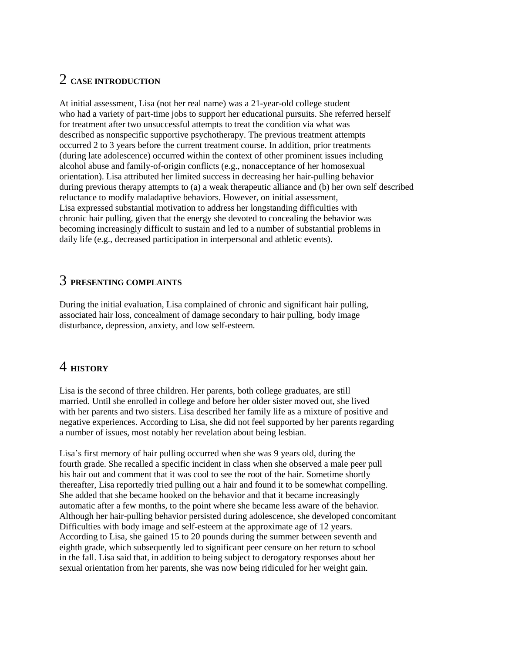# 2 **CASE INTRODUCTION**

At initial assessment, Lisa (not her real name) was a 21-year-old college student who had a variety of part-time jobs to support her educational pursuits. She referred herself for treatment after two unsuccessful attempts to treat the condition via what was described as nonspecific supportive psychotherapy. The previous treatment attempts occurred 2 to 3 years before the current treatment course. In addition, prior treatments (during late adolescence) occurred within the context of other prominent issues including alcohol abuse and family-of-origin conflicts (e.g., nonacceptance of her homosexual orientation). Lisa attributed her limited success in decreasing her hair-pulling behavior during previous therapy attempts to (a) a weak therapeutic alliance and (b) her own self described reluctance to modify maladaptive behaviors. However, on initial assessment, Lisa expressed substantial motivation to address her longstanding difficulties with chronic hair pulling, given that the energy she devoted to concealing the behavior was becoming increasingly difficult to sustain and led to a number of substantial problems in daily life (e.g., decreased participation in interpersonal and athletic events).

# 3 **PRESENTING COMPLAINTS**

During the initial evaluation, Lisa complained of chronic and significant hair pulling, associated hair loss, concealment of damage secondary to hair pulling, body image disturbance, depression, anxiety, and low self-esteem.

# 4 **HISTORY**

Lisa is the second of three children. Her parents, both college graduates, are still married. Until she enrolled in college and before her older sister moved out, she lived with her parents and two sisters. Lisa described her family life as a mixture of positive and negative experiences. According to Lisa, she did not feel supported by her parents regarding a number of issues, most notably her revelation about being lesbian.

Lisa's first memory of hair pulling occurred when she was 9 years old, during the fourth grade. She recalled a specific incident in class when she observed a male peer pull his hair out and comment that it was cool to see the root of the hair. Sometime shortly thereafter, Lisa reportedly tried pulling out a hair and found it to be somewhat compelling. She added that she became hooked on the behavior and that it became increasingly automatic after a few months, to the point where she became less aware of the behavior. Although her hair-pulling behavior persisted during adolescence, she developed concomitant Difficulties with body image and self-esteem at the approximate age of 12 years. According to Lisa, she gained 15 to 20 pounds during the summer between seventh and eighth grade, which subsequently led to significant peer censure on her return to school in the fall. Lisa said that, in addition to being subject to derogatory responses about her sexual orientation from her parents, she was now being ridiculed for her weight gain.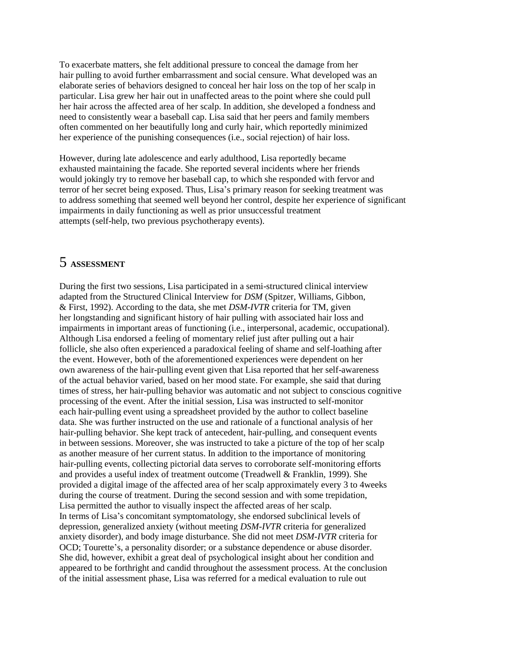To exacerbate matters, she felt additional pressure to conceal the damage from her hair pulling to avoid further embarrassment and social censure. What developed was an elaborate series of behaviors designed to conceal her hair loss on the top of her scalp in particular. Lisa grew her hair out in unaffected areas to the point where she could pull her hair across the affected area of her scalp. In addition, she developed a fondness and need to consistently wear a baseball cap. Lisa said that her peers and family members often commented on her beautifully long and curly hair, which reportedly minimized her experience of the punishing consequences (i.e., social rejection) of hair loss.

However, during late adolescence and early adulthood, Lisa reportedly became exhausted maintaining the facade. She reported several incidents where her friends would jokingly try to remove her baseball cap, to which she responded with fervor and terror of her secret being exposed. Thus, Lisa's primary reason for seeking treatment was to address something that seemed well beyond her control, despite her experience of significant impairments in daily functioning as well as prior unsuccessful treatment attempts (self-help, two previous psychotherapy events).

### 5 **ASSESSMENT**

During the first two sessions, Lisa participated in a semi-structured clinical interview adapted from the Structured Clinical Interview for *DSM* (Spitzer, Williams, Gibbon, & First, 1992). According to the data, she met *DSM-IVTR* criteria for TM, given her longstanding and significant history of hair pulling with associated hair loss and impairments in important areas of functioning (i.e., interpersonal, academic, occupational). Although Lisa endorsed a feeling of momentary relief just after pulling out a hair follicle, she also often experienced a paradoxical feeling of shame and self-loathing after the event. However, both of the aforementioned experiences were dependent on her own awareness of the hair-pulling event given that Lisa reported that her self-awareness of the actual behavior varied, based on her mood state. For example, she said that during times of stress, her hair-pulling behavior was automatic and not subject to conscious cognitive processing of the event. After the initial session, Lisa was instructed to self-monitor each hair-pulling event using a spreadsheet provided by the author to collect baseline data. She was further instructed on the use and rationale of a functional analysis of her hair-pulling behavior. She kept track of antecedent, hair-pulling, and consequent events in between sessions. Moreover, she was instructed to take a picture of the top of her scalp as another measure of her current status. In addition to the importance of monitoring hair-pulling events, collecting pictorial data serves to corroborate self-monitoring efforts and provides a useful index of treatment outcome (Treadwell & Franklin, 1999). She provided a digital image of the affected area of her scalp approximately every 3 to 4weeks during the course of treatment. During the second session and with some trepidation, Lisa permitted the author to visually inspect the affected areas of her scalp. In terms of Lisa's concomitant symptomatology, she endorsed subclinical levels of depression, generalized anxiety (without meeting *DSM-IVTR* criteria for generalized anxiety disorder), and body image disturbance. She did not meet *DSM-IVTR* criteria for OCD; Tourette's, a personality disorder; or a substance dependence or abuse disorder. She did, however, exhibit a great deal of psychological insight about her condition and appeared to be forthright and candid throughout the assessment process. At the conclusion of the initial assessment phase, Lisa was referred for a medical evaluation to rule out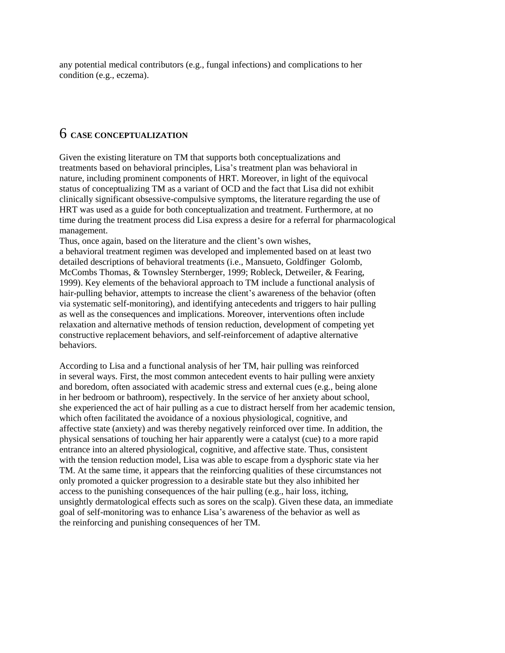any potential medical contributors (e.g., fungal infections) and complications to her condition (e.g., eczema).

# 6 **CASE CONCEPTUALIZATION**

Given the existing literature on TM that supports both conceptualizations and treatments based on behavioral principles, Lisa's treatment plan was behavioral in nature, including prominent components of HRT. Moreover, in light of the equivocal status of conceptualizing TM as a variant of OCD and the fact that Lisa did not exhibit clinically significant obsessive-compulsive symptoms, the literature regarding the use of HRT was used as a guide for both conceptualization and treatment. Furthermore, at no time during the treatment process did Lisa express a desire for a referral for pharmacological management.

Thus, once again, based on the literature and the client's own wishes,

a behavioral treatment regimen was developed and implemented based on at least two detailed descriptions of behavioral treatments (i.e., Mansueto, Goldfinger Golomb, McCombs Thomas, & Townsley Sternberger, 1999; Robleck, Detweiler, & Fearing, 1999). Key elements of the behavioral approach to TM include a functional analysis of hair-pulling behavior, attempts to increase the client's awareness of the behavior (often via systematic self-monitoring), and identifying antecedents and triggers to hair pulling as well as the consequences and implications. Moreover, interventions often include relaxation and alternative methods of tension reduction, development of competing yet constructive replacement behaviors, and self-reinforcement of adaptive alternative behaviors.

According to Lisa and a functional analysis of her TM, hair pulling was reinforced in several ways. First, the most common antecedent events to hair pulling were anxiety and boredom, often associated with academic stress and external cues (e.g., being alone in her bedroom or bathroom), respectively. In the service of her anxiety about school, she experienced the act of hair pulling as a cue to distract herself from her academic tension, which often facilitated the avoidance of a noxious physiological, cognitive, and affective state (anxiety) and was thereby negatively reinforced over time. In addition, the physical sensations of touching her hair apparently were a catalyst (cue) to a more rapid entrance into an altered physiological, cognitive, and affective state. Thus, consistent with the tension reduction model, Lisa was able to escape from a dysphoric state via her TM. At the same time, it appears that the reinforcing qualities of these circumstances not only promoted a quicker progression to a desirable state but they also inhibited her access to the punishing consequences of the hair pulling (e.g., hair loss, itching, unsightly dermatological effects such as sores on the scalp). Given these data, an immediate goal of self-monitoring was to enhance Lisa's awareness of the behavior as well as the reinforcing and punishing consequences of her TM.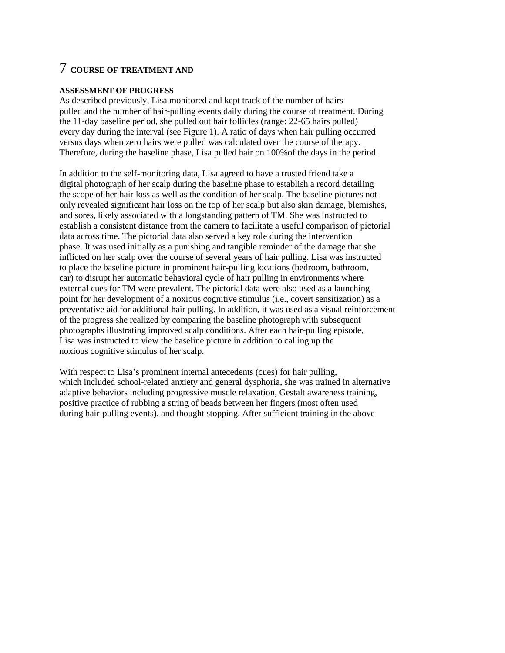# 7 **COURSE OF TREATMENT AND**

#### **ASSESSMENT OF PROGRESS**

As described previously, Lisa monitored and kept track of the number of hairs pulled and the number of hair-pulling events daily during the course of treatment. During the 11-day baseline period, she pulled out hair follicles (range: 22-65 hairs pulled) every day during the interval (see Figure 1). A ratio of days when hair pulling occurred versus days when zero hairs were pulled was calculated over the course of therapy. Therefore, during the baseline phase, Lisa pulled hair on 100%of the days in the period.

In addition to the self-monitoring data, Lisa agreed to have a trusted friend take a digital photograph of her scalp during the baseline phase to establish a record detailing the scope of her hair loss as well as the condition of her scalp. The baseline pictures not only revealed significant hair loss on the top of her scalp but also skin damage, blemishes, and sores, likely associated with a longstanding pattern of TM. She was instructed to establish a consistent distance from the camera to facilitate a useful comparison of pictorial data across time. The pictorial data also served a key role during the intervention phase. It was used initially as a punishing and tangible reminder of the damage that she inflicted on her scalp over the course of several years of hair pulling. Lisa was instructed to place the baseline picture in prominent hair-pulling locations (bedroom, bathroom, car) to disrupt her automatic behavioral cycle of hair pulling in environments where external cues for TM were prevalent. The pictorial data were also used as a launching point for her development of a noxious cognitive stimulus (i.e., covert sensitization) as a preventative aid for additional hair pulling. In addition, it was used as a visual reinforcement of the progress she realized by comparing the baseline photograph with subsequent photographs illustrating improved scalp conditions. After each hair-pulling episode, Lisa was instructed to view the baseline picture in addition to calling up the noxious cognitive stimulus of her scalp.

With respect to Lisa's prominent internal antecedents (cues) for hair pulling, which included school-related anxiety and general dysphoria, she was trained in alternative adaptive behaviors including progressive muscle relaxation, Gestalt awareness training, positive practice of rubbing a string of beads between her fingers (most often used during hair-pulling events), and thought stopping. After sufficient training in the above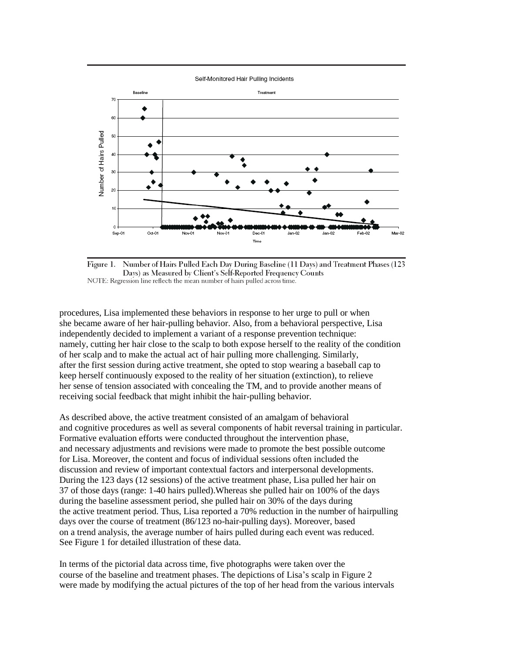

Number of Hairs Pulled Each Day During Baseline (11 Days) and Treatment Phases (123 Figure 1. Days) as Measured by Client's Self-Reported Frequency Counts NOTE: Regression line reflects the mean number of hairs pulled across time.

procedures, Lisa implemented these behaviors in response to her urge to pull or when she became aware of her hair-pulling behavior. Also, from a behavioral perspective, Lisa independently decided to implement a variant of a response prevention technique: namely, cutting her hair close to the scalp to both expose herself to the reality of the condition of her scalp and to make the actual act of hair pulling more challenging. Similarly, after the first session during active treatment, she opted to stop wearing a baseball cap to keep herself continuously exposed to the reality of her situation (extinction), to relieve her sense of tension associated with concealing the TM, and to provide another means of receiving social feedback that might inhibit the hair-pulling behavior.

As described above, the active treatment consisted of an amalgam of behavioral and cognitive procedures as well as several components of habit reversal training in particular. Formative evaluation efforts were conducted throughout the intervention phase, and necessary adjustments and revisions were made to promote the best possible outcome for Lisa. Moreover, the content and focus of individual sessions often included the discussion and review of important contextual factors and interpersonal developments. During the 123 days (12 sessions) of the active treatment phase, Lisa pulled her hair on 37 of those days (range: 1-40 hairs pulled).Whereas she pulled hair on 100% of the days during the baseline assessment period, she pulled hair on 30% of the days during the active treatment period. Thus, Lisa reported a 70% reduction in the number of hairpulling days over the course of treatment (86/123 no-hair-pulling days). Moreover, based on a trend analysis, the average number of hairs pulled during each event was reduced. See Figure 1 for detailed illustration of these data.

In terms of the pictorial data across time, five photographs were taken over the course of the baseline and treatment phases. The depictions of Lisa's scalp in Figure 2 were made by modifying the actual pictures of the top of her head from the various intervals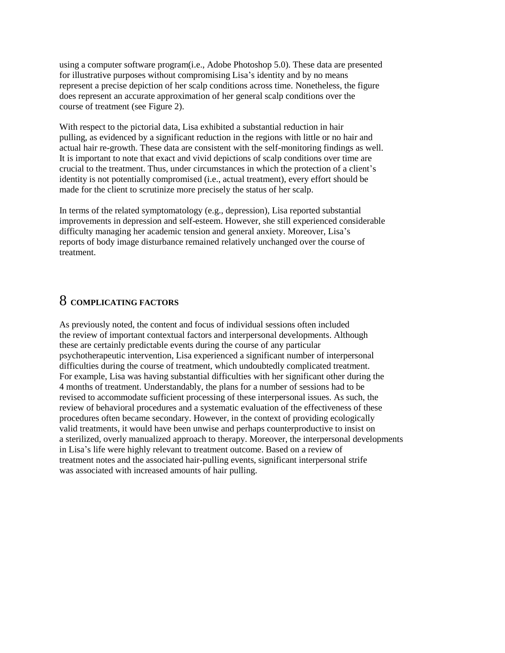using a computer software program(i.e., Adobe Photoshop 5.0). These data are presented for illustrative purposes without compromising Lisa's identity and by no means represent a precise depiction of her scalp conditions across time. Nonetheless, the figure does represent an accurate approximation of her general scalp conditions over the course of treatment (see Figure 2).

With respect to the pictorial data, Lisa exhibited a substantial reduction in hair pulling, as evidenced by a significant reduction in the regions with little or no hair and actual hair re-growth. These data are consistent with the self-monitoring findings as well. It is important to note that exact and vivid depictions of scalp conditions over time are crucial to the treatment. Thus, under circumstances in which the protection of a client's identity is not potentially compromised (i.e., actual treatment), every effort should be made for the client to scrutinize more precisely the status of her scalp.

In terms of the related symptomatology (e.g., depression), Lisa reported substantial improvements in depression and self-esteem. However, she still experienced considerable difficulty managing her academic tension and general anxiety. Moreover, Lisa's reports of body image disturbance remained relatively unchanged over the course of treatment.

### 8 **COMPLICATING FACTORS**

As previously noted, the content and focus of individual sessions often included the review of important contextual factors and interpersonal developments. Although these are certainly predictable events during the course of any particular psychotherapeutic intervention, Lisa experienced a significant number of interpersonal difficulties during the course of treatment, which undoubtedly complicated treatment. For example, Lisa was having substantial difficulties with her significant other during the 4 months of treatment. Understandably, the plans for a number of sessions had to be revised to accommodate sufficient processing of these interpersonal issues. As such, the review of behavioral procedures and a systematic evaluation of the effectiveness of these procedures often became secondary. However, in the context of providing ecologically valid treatments, it would have been unwise and perhaps counterproductive to insist on a sterilized, overly manualized approach to therapy. Moreover, the interpersonal developments in Lisa's life were highly relevant to treatment outcome. Based on a review of treatment notes and the associated hair-pulling events, significant interpersonal strife was associated with increased amounts of hair pulling.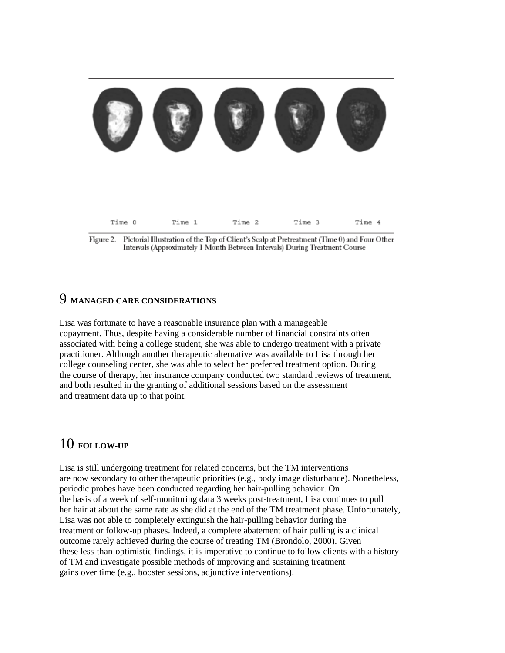

Pictorial Illustration of the Top of Client's Scalp at Pretreatment (Time 0) and Four Other Figure 2. Intervals (Approximately 1 Month Between Intervals) During Treatment Course

### 9 **MANAGED CARE CONSIDERATIONS**

Lisa was fortunate to have a reasonable insurance plan with a manageable copayment. Thus, despite having a considerable number of financial constraints often associated with being a college student, she was able to undergo treatment with a private practitioner. Although another therapeutic alternative was available to Lisa through her college counseling center, she was able to select her preferred treatment option. During the course of therapy, her insurance company conducted two standard reviews of treatment, and both resulted in the granting of additional sessions based on the assessment and treatment data up to that point.

# 10 **FOLLOW-UP**

Lisa is still undergoing treatment for related concerns, but the TM interventions are now secondary to other therapeutic priorities (e.g., body image disturbance). Nonetheless, periodic probes have been conducted regarding her hair-pulling behavior. On the basis of a week of self-monitoring data 3 weeks post-treatment, Lisa continues to pull her hair at about the same rate as she did at the end of the TM treatment phase. Unfortunately, Lisa was not able to completely extinguish the hair-pulling behavior during the treatment or follow-up phases. Indeed, a complete abatement of hair pulling is a clinical outcome rarely achieved during the course of treating TM (Brondolo, 2000). Given these less-than-optimistic findings, it is imperative to continue to follow clients with a history of TM and investigate possible methods of improving and sustaining treatment gains over time (e.g., booster sessions, adjunctive interventions).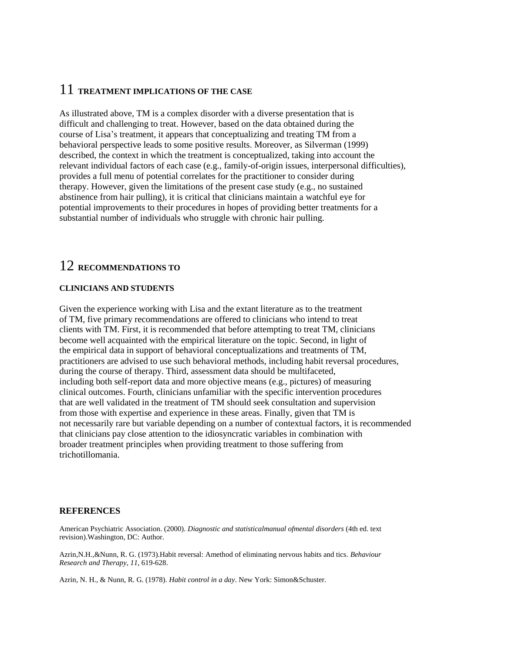### 11 **TREATMENT IMPLICATIONS OF THE CASE**

As illustrated above, TM is a complex disorder with a diverse presentation that is difficult and challenging to treat. However, based on the data obtained during the course of Lisa's treatment, it appears that conceptualizing and treating TM from a behavioral perspective leads to some positive results. Moreover, as Silverman (1999) described, the context in which the treatment is conceptualized, taking into account the relevant individual factors of each case (e.g., family-of-origin issues, interpersonal difficulties), provides a full menu of potential correlates for the practitioner to consider during therapy. However, given the limitations of the present case study (e.g., no sustained abstinence from hair pulling), it is critical that clinicians maintain a watchful eye for potential improvements to their procedures in hopes of providing better treatments for a substantial number of individuals who struggle with chronic hair pulling.

# 12 **RECOMMENDATIONS TO**

#### **CLINICIANS AND STUDENTS**

Given the experience working with Lisa and the extant literature as to the treatment of TM, five primary recommendations are offered to clinicians who intend to treat clients with TM. First, it is recommended that before attempting to treat TM, clinicians become well acquainted with the empirical literature on the topic. Second, in light of the empirical data in support of behavioral conceptualizations and treatments of TM, practitioners are advised to use such behavioral methods, including habit reversal procedures, during the course of therapy. Third, assessment data should be multifaceted, including both self-report data and more objective means (e.g., pictures) of measuring clinical outcomes. Fourth, clinicians unfamiliar with the specific intervention procedures that are well validated in the treatment of TM should seek consultation and supervision from those with expertise and experience in these areas. Finally, given that TM is not necessarily rare but variable depending on a number of contextual factors, it is recommended that clinicians pay close attention to the idiosyncratic variables in combination with broader treatment principles when providing treatment to those suffering from trichotillomania.

#### **REFERENCES**

American Psychiatric Association. (2000). *Diagnostic and statisticalmanual ofmental disorders* (4th ed. text revision).Washington, DC: Author.

Azrin,N.H.,&Nunn, R. G. (1973).Habit reversal: Amethod of eliminating nervous habits and tics. *Behaviour Research and Therapy*, *11*, 619-628.

Azrin, N. H., & Nunn, R. G. (1978). *Habit control in a day*. New York: Simon&Schuster.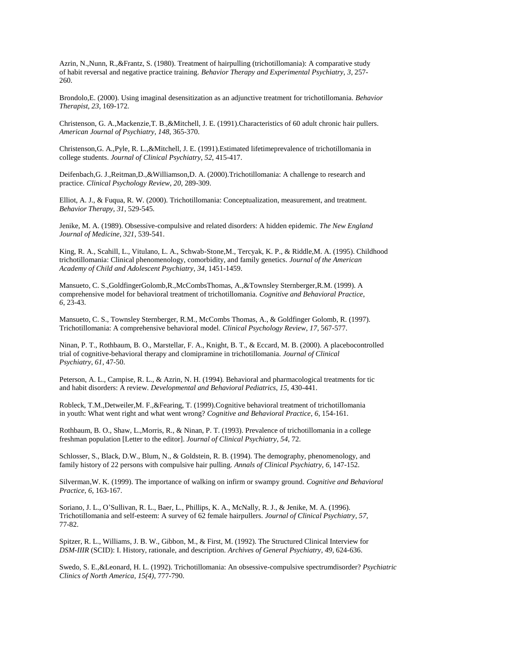Azrin, N.,Nunn, R.,&Frantz, S. (1980). Treatment of hairpulling (trichotillomania): A comparative study of habit reversal and negative practice training. *Behavior Therapy and Experimental Psychiatry*, *3*, 257- 260.

Brondolo,E. (2000). Using imaginal desensitization as an adjunctive treatment for trichotillomania. *Behavior Therapist*, *23*, 169-172.

Christenson, G. A.,Mackenzie,T. B.,&Mitchell, J. E. (1991).Characteristics of 60 adult chronic hair pullers. *American Journal of Psychiatry*, *148*, 365-370.

Christenson,G. A.,Pyle, R. L.,&Mitchell, J. E. (1991).Estimated lifetimeprevalence of trichotillomania in college students. *Journal of Clinical Psychiatry*, *52*, 415-417.

Deifenbach,G. J.,Reitman,D.,&Williamson,D. A. (2000).Trichotillomania: A challenge to research and practice. *Clinical Psychology Review*, *20*, 289-309.

Elliot, A. J., & Fuqua, R. W. (2000). Trichotillomania: Conceptualization, measurement, and treatment. *Behavior Therapy, 31*, 529-545.

Jenike, M. A. (1989). Obsessive-compulsive and related disorders: A hidden epidemic. *The New England Journal of Medicine*, *321*, 539-541.

King, R. A., Scahill, L., Vitulano, L. A., Schwab-Stone,M., Tercyak, K. P., & Riddle,M. A. (1995). Childhood trichotillomania: Clinical phenomenology, comorbidity, and family genetics. *Journal of the American Academy of Child and Adolescent Psychiatry*, *34*, 1451-1459.

Mansueto, C. S.,GoldfingerGolomb,R.,McCombsThomas, A.,&Townsley Sternberger,R.M. (1999). A comprehensive model for behavioral treatment of trichotillomania. *Cognitive and Behavioral Practice*, *6*, 23-43.

Mansueto, C. S., Townsley Sternberger, R.M., McCombs Thomas, A., & Goldfinger Golomb, R. (1997). Trichotillomania: A comprehensive behavioral model. *Clinical Psychology Review*, *17*, 567-577.

Ninan, P. T., Rothbaum, B. O., Marstellar, F. A., Knight, B. T., & Eccard, M. B. (2000). A placebocontrolled trial of cognitive-behavioral therapy and clomipramine in trichotillomania. *Journal of Clinical Psychiatry*, *61*, 47-50.

Peterson, A. L., Campise, R. L., & Azrin, N. H. (1994). Behavioral and pharmacological treatments for tic and habit disorders: A review. *Developmental and Behavioral Pediatrics*, *15*, 430-441.

Robleck, T.M.,Detweiler,M. F.,&Fearing, T. (1999).Cognitive behavioral treatment of trichotillomania in youth: What went right and what went wrong? *Cognitive and Behavioral Practice*, *6*, 154-161.

Rothbaum, B. O., Shaw, L.,Morris, R., & Ninan, P. T. (1993). Prevalence of trichotillomania in a college freshman population [Letter to the editor]. *Journal of Clinical Psychiatry*, *54*, 72.

Schlosser, S., Black, D.W., Blum, N., & Goldstein, R. B. (1994). The demography, phenomenology, and family history of 22 persons with compulsive hair pulling. *Annals of Clinical Psychiatry*, *6*, 147-152.

Silverman,W. K. (1999). The importance of walking on infirm or swampy ground. *Cognitive and Behavioral Practice*, *6*, 163-167.

Soriano, J. L., O'Sullivan, R. L., Baer, L., Phillips, K. A., McNally, R. J., & Jenike, M. A. (1996). Trichotillomania and self-esteem: A survey of 62 female hairpullers. *Journal of Clinical Psychiatry*, *57*, 77-82.

Spitzer, R. L., Williams, J. B. W., Gibbon, M., & First, M. (1992). The Structured Clinical Interview for *DSM-IIIR* (SCID): I. History, rationale, and description. *Archives of General Psychiatry*, *49*, 624-636.

Swedo, S. E.,&Leonard, H. L. (1992). Trichotillomania: An obsessive-compulsive spectrumdisorder? *Psychiatric Clinics of North America*, *15(4)*, 777-790.